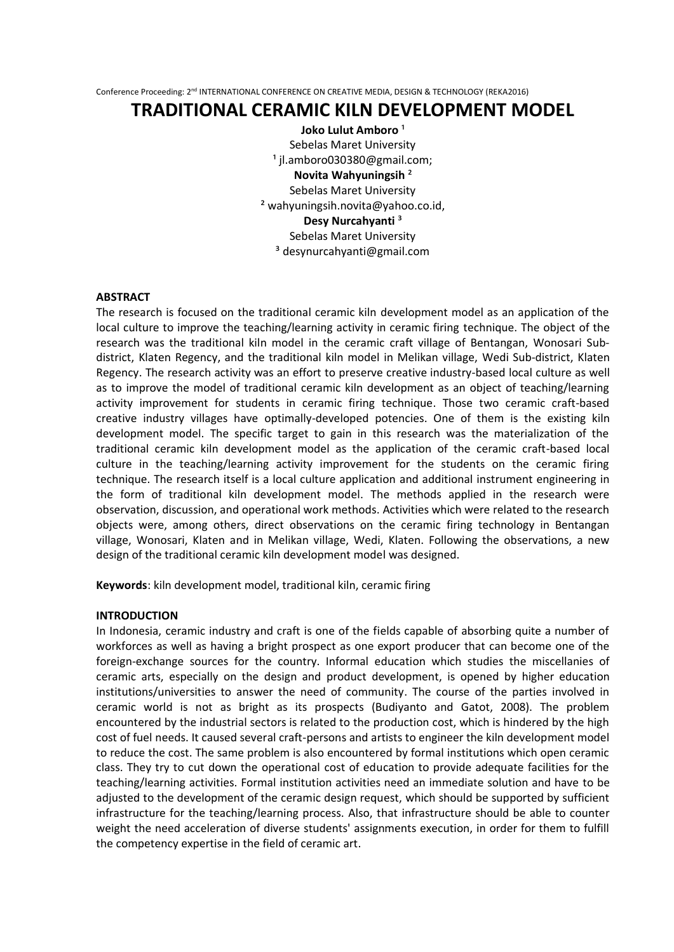# **TRADITIONAL CERAMIC KILN DEVELOPMENT MODEL**

**Joko Lulut Amboro**<sup>1</sup> Sebelas Maret University <sup>1</sup> [jl.amboro030380@gmail.com;](mailto:jl.amboro030380@gmail.com) **Novita Wahyuningsih** ² Sebelas Maret University ² [wahyuningsih.novita@yahoo.co.id,](mailto:wahyuningsih.novita@yahoo.co.id) **Desy Nurcahyanti** ³ Sebelas Maret University ³ desynurcahyanti@gmail.com

### **ABSTRACT**

The research is focused on the traditional ceramic kiln development model as an application of the local culture to improve the teaching/learning activity in ceramic firing technique. The object of the research was the traditional kiln model in the ceramic craft village of Bentangan, Wonosari Subdistrict, Klaten Regency, and the traditional kiln model in Melikan village, Wedi Sub-district, Klaten Regency. The research activity was an effort to preserve creative industry-based local culture as well as to improve the model of traditional ceramic kiln development as an object of teaching/learning activity improvement for students in ceramic firing technique. Those two ceramic craft-based creative industry villages have optimally-developed potencies. One of them is the existing kiln development model. The specific target to gain in this research was the materialization of the traditional ceramic kiln development model as the application of the ceramic craft-based local culture in the teaching/learning activity improvement for the students on the ceramic firing technique. The research itself is a local culture application and additional instrument engineering in the form of traditional kiln development model. The methods applied in the research were observation, discussion, and operational work methods. Activities which were related to the research objects were, among others, direct observations on the ceramic firing technology in Bentangan village, Wonosari, Klaten and in Melikan village, Wedi, Klaten. Following the observations, a new design of the traditional ceramic kiln development model was designed.

**Keywords**: kiln development model, traditional kiln, ceramic firing

#### **INTRODUCTION**

In Indonesia, ceramic industry and craft is one of the fields capable of absorbing quite a number of workforces as well as having a bright prospect as one export producer that can become one of the foreign-exchange sources for the country. Informal education which studies the miscellanies of ceramic arts, especially on the design and product development, is opened by higher education institutions/universities to answer the need of community. The course of the parties involved in ceramic world is not as bright as its prospects (Budiyanto and Gatot, 2008). The problem encountered by the industrial sectors is related to the production cost, which is hindered by the high cost of fuel needs. It caused several craft-persons and artists to engineer the kiln development model to reduce the cost. The same problem is also encountered by formal institutions which open ceramic class. They try to cut down the operational cost of education to provide adequate facilities for the teaching/learning activities. Formal institution activities need an immediate solution and have to be adjusted to the development of the ceramic design request, which should be supported by sufficient infrastructure for the teaching/learning process. Also, that infrastructure should be able to counter weight the need acceleration of diverse students' assignments execution, in order for them to fulfill the competency expertise in the field of ceramic art.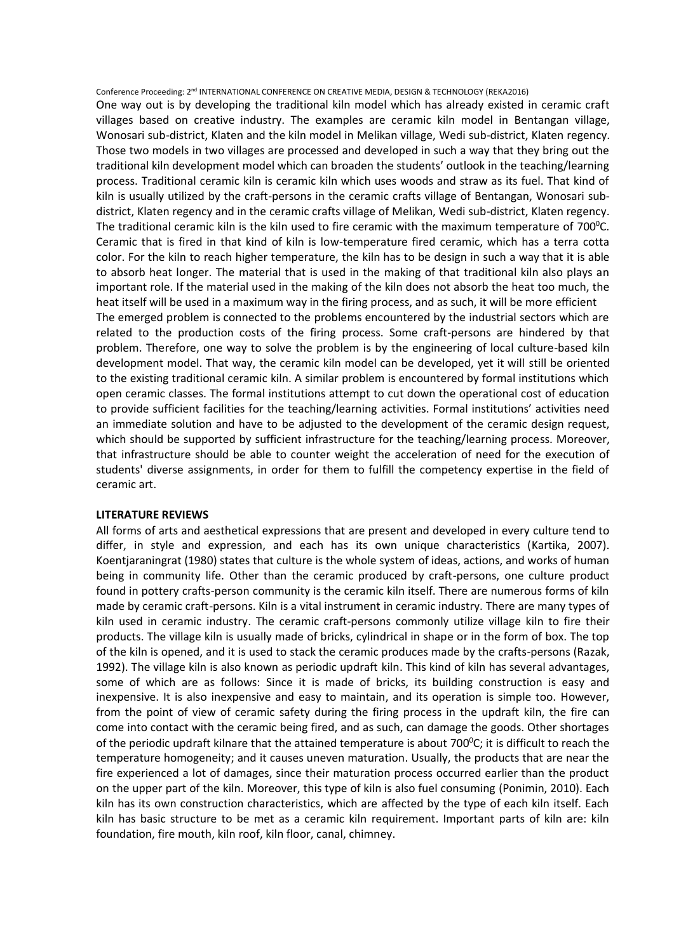One way out is by developing the traditional kiln model which has already existed in ceramic craft villages based on creative industry. The examples are ceramic kiln model in Bentangan village, Wonosari sub-district, Klaten and the kiln model in Melikan village, Wedi sub-district, Klaten regency. Those two models in two villages are processed and developed in such a way that they bring out the traditional kiln development model which can broaden the students' outlook in the teaching/learning process. Traditional ceramic kiln is ceramic kiln which uses woods and straw as its fuel. That kind of kiln is usually utilized by the craft-persons in the ceramic crafts village of Bentangan, Wonosari subdistrict, Klaten regency and in the ceramic crafts village of Melikan, Wedi sub-district, Klaten regency. The traditional ceramic kiln is the kiln used to fire ceramic with the maximum temperature of  $700^{\circ}$ C. Ceramic that is fired in that kind of kiln is low-temperature fired ceramic, which has a terra cotta color. For the kiln to reach higher temperature, the kiln has to be design in such a way that it is able to absorb heat longer. The material that is used in the making of that traditional kiln also plays an important role. If the material used in the making of the kiln does not absorb the heat too much, the heat itself will be used in a maximum way in the firing process, and as such, it will be more efficient The emerged problem is connected to the problems encountered by the industrial sectors which are related to the production costs of the firing process. Some craft-persons are hindered by that problem. Therefore, one way to solve the problem is by the engineering of local culture-based kiln development model. That way, the ceramic kiln model can be developed, yet it will still be oriented to the existing traditional ceramic kiln. A similar problem is encountered by formal institutions which open ceramic classes. The formal institutions attempt to cut down the operational cost of education to provide sufficient facilities for the teaching/learning activities. Formal institutions' activities need an immediate solution and have to be adjusted to the development of the ceramic design request, which should be supported by sufficient infrastructure for the teaching/learning process. Moreover, that infrastructure should be able to counter weight the acceleration of need for the execution of students' diverse assignments, in order for them to fulfill the competency expertise in the field of ceramic art.

#### **LITERATURE REVIEWS**

All forms of arts and aesthetical expressions that are present and developed in every culture tend to differ, in style and expression, and each has its own unique characteristics (Kartika, 2007). Koentjaraningrat (1980) states that culture is the whole system of ideas, actions, and works of human being in community life. Other than the ceramic produced by craft-persons, one culture product found in pottery crafts-person community is the ceramic kiln itself. There are numerous forms of kiln made by ceramic craft-persons. Kiln is a vital instrument in ceramic industry. There are many types of kiln used in ceramic industry. The ceramic craft-persons commonly utilize village kiln to fire their products. The village kiln is usually made of bricks, cylindrical in shape or in the form of box. The top of the kiln is opened, and it is used to stack the ceramic produces made by the crafts-persons (Razak, 1992). The village kiln is also known as periodic updraft kiln. This kind of kiln has several advantages, some of which are as follows: Since it is made of bricks, its building construction is easy and inexpensive. It is also inexpensive and easy to maintain, and its operation is simple too. However, from the point of view of ceramic safety during the firing process in the updraft kiln, the fire can come into contact with the ceramic being fired, and as such, can damage the goods. Other shortages of the periodic updraft kilnare that the attained temperature is about  $700\degree$ C; it is difficult to reach the temperature homogeneity; and it causes uneven maturation. Usually, the products that are near the fire experienced a lot of damages, since their maturation process occurred earlier than the product on the upper part of the kiln. Moreover, this type of kiln is also fuel consuming (Ponimin, 2010). Each kiln has its own construction characteristics, which are affected by the type of each kiln itself. Each kiln has basic structure to be met as a ceramic kiln requirement. Important parts of kiln are: kiln foundation, fire mouth, kiln roof, kiln floor, canal, chimney.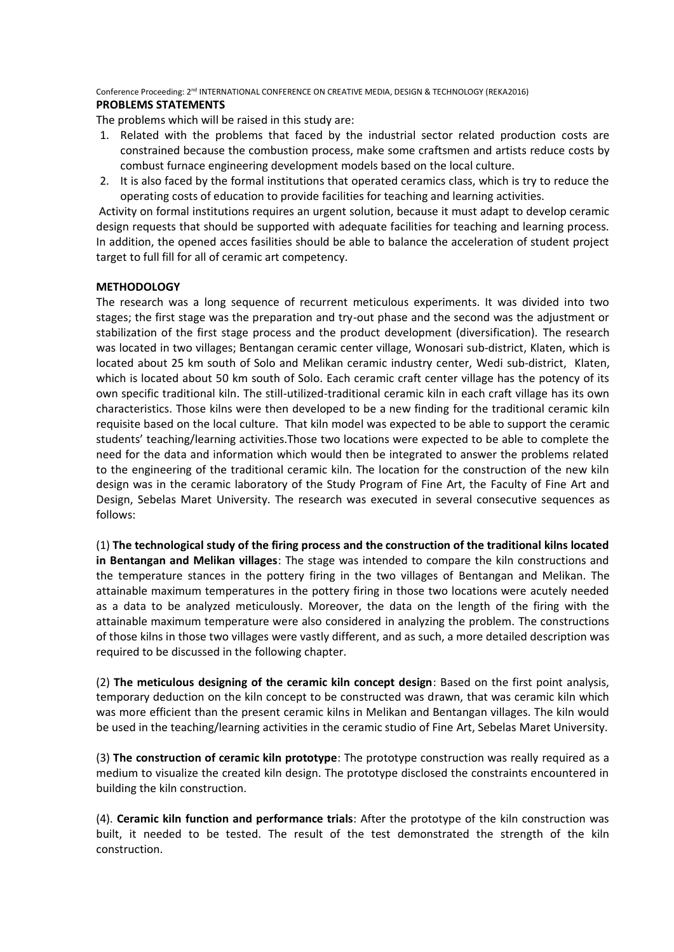# **PROBLEMS STATEMENTS**

The problems which will be raised in this study are:

- 1. Related with the problems that faced by the industrial sector related production costs are constrained because the combustion process, make some craftsmen and artists reduce costs by combust furnace engineering development models based on the local culture.
- 2. It is also faced by the formal institutions that operated ceramics class, which is try to reduce the operating costs of education to provide facilities for teaching and learning activities.

Activity on formal institutions requires an urgent solution, because it must adapt to develop ceramic design requests that should be supported with adequate facilities for teaching and learning process. In addition, the opened acces fasilities should be able to balance the acceleration of student project target to full fill for all of ceramic art competency.

# **METHODOLOGY**

The research was a long sequence of recurrent meticulous experiments. It was divided into two stages; the first stage was the preparation and try-out phase and the second was the adjustment or stabilization of the first stage process and the product development (diversification). The research was located in two villages; Bentangan ceramic center village, Wonosari sub-district, Klaten, which is located about 25 km south of Solo and Melikan ceramic industry center, Wedi sub-district, Klaten, which is located about 50 km south of Solo. Each ceramic craft center village has the potency of its own specific traditional kiln. The still-utilized-traditional ceramic kiln in each craft village has its own characteristics. Those kilns were then developed to be a new finding for the traditional ceramic kiln requisite based on the local culture. That kiln model was expected to be able to support the ceramic students' teaching/learning activities.Those two locations were expected to be able to complete the need for the data and information which would then be integrated to answer the problems related to the engineering of the traditional ceramic kiln. The location for the construction of the new kiln design was in the ceramic laboratory of the Study Program of Fine Art, the Faculty of Fine Art and Design, Sebelas Maret University. The research was executed in several consecutive sequences as follows:

(1) **The technological study of the firing process and the construction of the traditional kilns located in Bentangan and Melikan villages**: The stage was intended to compare the kiln constructions and the temperature stances in the pottery firing in the two villages of Bentangan and Melikan. The attainable maximum temperatures in the pottery firing in those two locations were acutely needed as a data to be analyzed meticulously. Moreover, the data on the length of the firing with the attainable maximum temperature were also considered in analyzing the problem. The constructions of those kilns in those two villages were vastly different, and as such, a more detailed description was required to be discussed in the following chapter.

(2) **The meticulous designing of the ceramic kiln concept design**: Based on the first point analysis, temporary deduction on the kiln concept to be constructed was drawn, that was ceramic kiln which was more efficient than the present ceramic kilns in Melikan and Bentangan villages. The kiln would be used in the teaching/learning activities in the ceramic studio of Fine Art, Sebelas Maret University.

(3) **The construction of ceramic kiln prototype**: The prototype construction was really required as a medium to visualize the created kiln design. The prototype disclosed the constraints encountered in building the kiln construction.

(4). **Ceramic kiln function and performance trials**: After the prototype of the kiln construction was built, it needed to be tested. The result of the test demonstrated the strength of the kiln construction.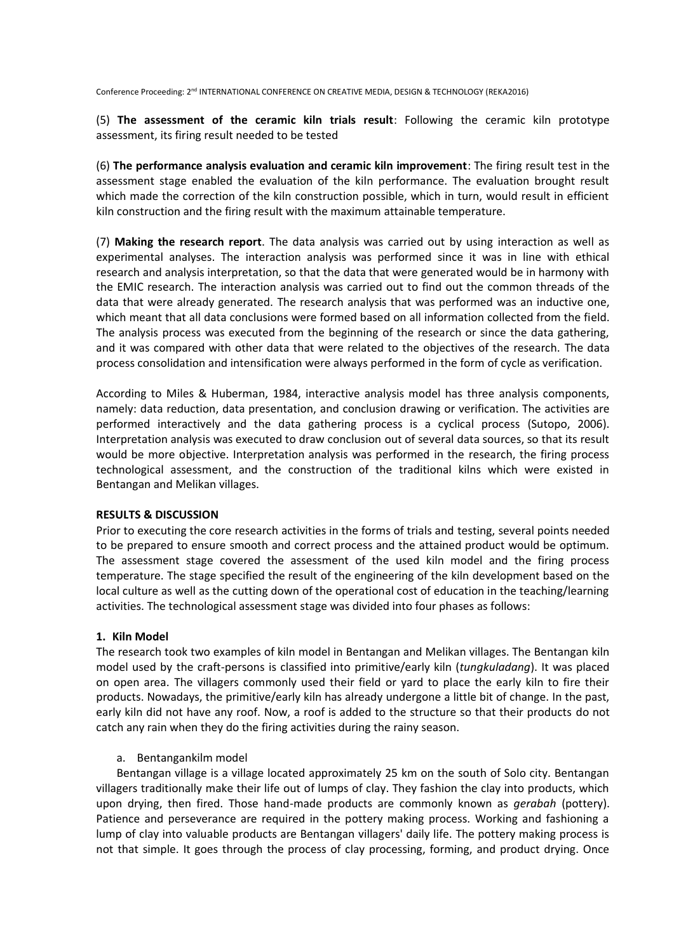(5) **The assessment of the ceramic kiln trials result**: Following the ceramic kiln prototype assessment, its firing result needed to be tested

(6) **The performance analysis evaluation and ceramic kiln improvement**: The firing result test in the assessment stage enabled the evaluation of the kiln performance. The evaluation brought result which made the correction of the kiln construction possible, which in turn, would result in efficient kiln construction and the firing result with the maximum attainable temperature.

(7) **Making the research report**. The data analysis was carried out by using interaction as well as experimental analyses. The interaction analysis was performed since it was in line with ethical research and analysis interpretation, so that the data that were generated would be in harmony with the EMIC research. The interaction analysis was carried out to find out the common threads of the data that were already generated. The research analysis that was performed was an inductive one, which meant that all data conclusions were formed based on all information collected from the field. The analysis process was executed from the beginning of the research or since the data gathering, and it was compared with other data that were related to the objectives of the research. The data process consolidation and intensification were always performed in the form of cycle as verification.

According to Miles & Huberman, 1984, interactive analysis model has three analysis components, namely: data reduction, data presentation, and conclusion drawing or verification. The activities are performed interactively and the data gathering process is a cyclical process (Sutopo, 2006). Interpretation analysis was executed to draw conclusion out of several data sources, so that its result would be more objective. Interpretation analysis was performed in the research, the firing process technological assessment, and the construction of the traditional kilns which were existed in Bentangan and Melikan villages.

## **RESULTS & DISCUSSION**

Prior to executing the core research activities in the forms of trials and testing, several points needed to be prepared to ensure smooth and correct process and the attained product would be optimum. The assessment stage covered the assessment of the used kiln model and the firing process temperature. The stage specified the result of the engineering of the kiln development based on the local culture as well as the cutting down of the operational cost of education in the teaching/learning activities. The technological assessment stage was divided into four phases as follows:

## **1. Kiln Model**

The research took two examples of kiln model in Bentangan and Melikan villages. The Bentangan kiln model used by the craft-persons is classified into primitive/early kiln (*tungkuladang*). It was placed on open area. The villagers commonly used their field or yard to place the early kiln to fire their products. Nowadays, the primitive/early kiln has already undergone a little bit of change. In the past, early kiln did not have any roof. Now, a roof is added to the structure so that their products do not catch any rain when they do the firing activities during the rainy season.

#### a. Bentangankilm model

Bentangan village is a village located approximately 25 km on the south of Solo city. Bentangan villagers traditionally make their life out of lumps of clay. They fashion the clay into products, which upon drying, then fired. Those hand-made products are commonly known as *gerabah* (pottery). Patience and perseverance are required in the pottery making process. Working and fashioning a lump of clay into valuable products are Bentangan villagers' daily life. The pottery making process is not that simple. It goes through the process of clay processing, forming, and product drying. Once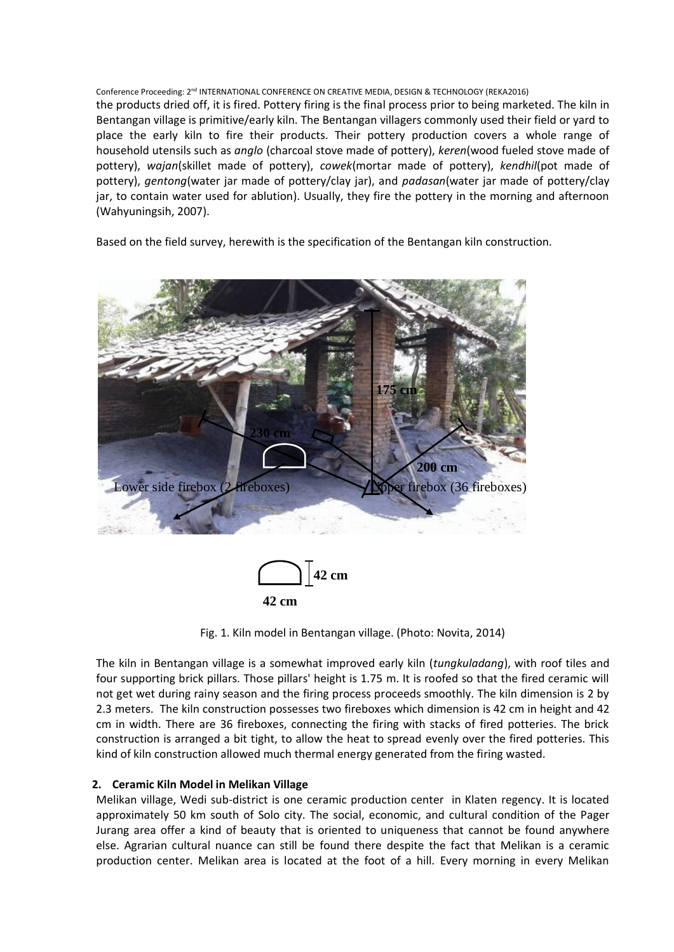Conference Proceeding: 2<sup>nd</sup> INTERNATIONAL CONFERENCE ON CREATIVE MEDIA, DESIGN & TECHNOLOGY (REKA2016) the products dried off, it is fired. Pottery firing is the final process prior to being marketed. The kiln in Bentangan village is primitive/early kiln. The Bentangan villagers commonly used their field or yard to place the early kiln to fire their products. Their pottery production covers a whole range of household utensils such as *anglo* (charcoal stove made of pottery), *keren*(wood fueled stove made of pottery), *wajan*(skillet made of pottery), *cowek*(mortar made of pottery), *kendhil*(pot made of pottery), *gentong*(water jar made of pottery/clay jar), and *padasan*(water jar made of pottery/clay jar, to contain water used for ablution). Usually, they fire the pottery in the morning and afternoon (Wahyuningsih, 2007).

Based on the field survey, herewith is the specification of the Bentangan kiln construction.





Fig. 1. Kiln model in Bentangan village. (Photo: Novita, 2014)

The kiln in Bentangan village is a somewhat improved early kiln (*tungkuladang*), with roof tiles and four supporting brick pillars. Those pillars' height is 1.75 m. It is roofed so that the fired ceramic will not get wet during rainy season and the firing process proceeds smoothly. The kiln dimension is 2 by 2.3 meters. The kiln construction possesses two fireboxes which dimension is 42 cm in height and 42 cm in width. There are 36 fireboxes, connecting the firing with stacks of fired potteries. The brick construction is arranged a bit tight, to allow the heat to spread evenly over the fired potteries. This kind of kiln construction allowed much thermal energy generated from the firing wasted.

# **2. Ceramic Kiln Model in Melikan Village**

Melikan village, Wedi sub-district is one ceramic production center in Klaten regency. It is located approximately 50 km south of Solo city. The social, economic, and cultural condition of the Pager Jurang area offer a kind of beauty that is oriented to uniqueness that cannot be found anywhere else. Agrarian cultural nuance can still be found there despite the fact that Melikan is a ceramic production center. Melikan area is located at the foot of a hill. Every morning in every Melikan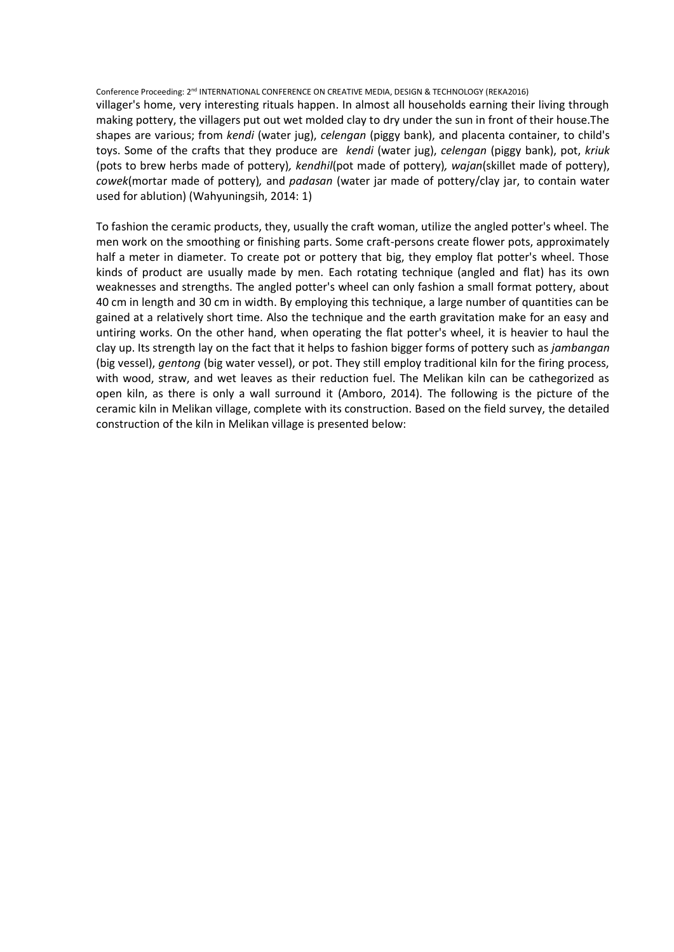Conference Proceeding: 2nd INTERNATIONAL CONFERENCE ON CREATIVE MEDIA, DESIGN & TECHNOLOGY (REKA2016) villager's home, very interesting rituals happen. In almost all households earning their living through making pottery, the villagers put out wet molded clay to dry under the sun in front of their house.The shapes are various; from *kendi* (water jug), *celengan* (piggy bank), and placenta container, to child's toys. Some of the crafts that they produce are *kendi* (water jug), *celengan* (piggy bank), pot, *kriuk* (pots to brew herbs made of pottery)*, kendhil*(pot made of pottery)*, wajan*(skillet made of pottery), *cowek*(mortar made of pottery)*,* and *padasan* (water jar made of pottery/clay jar, to contain water used for ablution) (Wahyuningsih, 2014: 1)

To fashion the ceramic products, they, usually the craft woman, utilize the angled potter's wheel. The men work on the smoothing or finishing parts. Some craft-persons create flower pots, approximately half a meter in diameter. To create pot or pottery that big, they employ flat potter's wheel. Those kinds of product are usually made by men. Each rotating technique (angled and flat) has its own weaknesses and strengths. The angled potter's wheel can only fashion a small format pottery, about 40 cm in length and 30 cm in width. By employing this technique, a large number of quantities can be gained at a relatively short time. Also the technique and the earth gravitation make for an easy and untiring works. On the other hand, when operating the flat potter's wheel, it is heavier to haul the clay up. Its strength lay on the fact that it helps to fashion bigger forms of pottery such as *jambangan* (big vessel), *gentong* (big water vessel), or pot. They still employ traditional kiln for the firing process, with wood, straw, and wet leaves as their reduction fuel. The Melikan kiln can be cathegorized as open kiln, as there is only a wall surround it (Amboro, 2014). The following is the picture of the ceramic kiln in Melikan village, complete with its construction. Based on the field survey, the detailed construction of the kiln in Melikan village is presented below: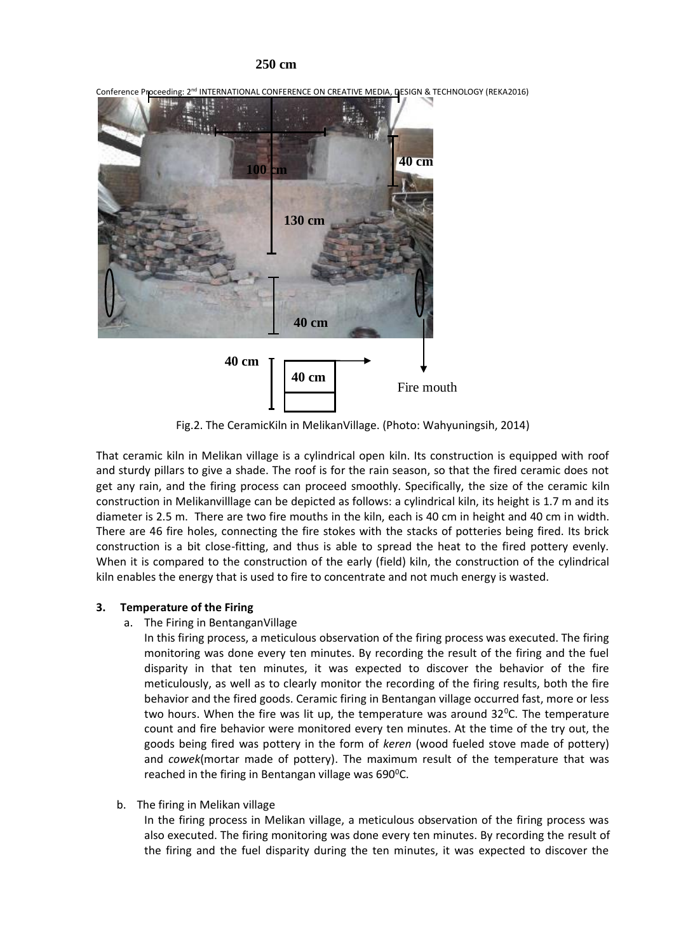## **250 cm**



Conference Proceeding: 2<sup>nd</sup> INTERNATIONAL CONFERENCE ON CREATIVE MEDIA, DESIGN & TECHNOLOGY (REKA2016)

Fig.2. The CeramicKiln in MelikanVillage. (Photo: Wahyuningsih, 2014)

That ceramic kiln in Melikan village is a cylindrical open kiln. Its construction is equipped with roof and sturdy pillars to give a shade. The roof is for the rain season, so that the fired ceramic does not get any rain, and the firing process can proceed smoothly. Specifically, the size of the ceramic kiln construction in Melikanvilllage can be depicted as follows: a cylindrical kiln, its height is 1.7 m and its diameter is 2.5 m. There are two fire mouths in the kiln, each is 40 cm in height and 40 cm in width. There are 46 fire holes, connecting the fire stokes with the stacks of potteries being fired. Its brick construction is a bit close-fitting, and thus is able to spread the heat to the fired pottery evenly. When it is compared to the construction of the early (field) kiln, the construction of the cylindrical kiln enables the energy that is used to fire to concentrate and not much energy is wasted.

## **3. Temperature of the Firing**

a. The Firing in BentanganVillage

In this firing process, a meticulous observation of the firing process was executed. The firing monitoring was done every ten minutes. By recording the result of the firing and the fuel disparity in that ten minutes, it was expected to discover the behavior of the fire meticulously, as well as to clearly monitor the recording of the firing results, both the fire behavior and the fired goods. Ceramic firing in Bentangan village occurred fast, more or less two hours. When the fire was lit up, the temperature was around  $32^{\circ}$ C. The temperature count and fire behavior were monitored every ten minutes. At the time of the try out, the goods being fired was pottery in the form of *keren* (wood fueled stove made of pottery) and *cowek*(mortar made of pottery). The maximum result of the temperature that was reached in the firing in Bentangan village was 690°C.

b. The firing in Melikan village

In the firing process in Melikan village, a meticulous observation of the firing process was also executed. The firing monitoring was done every ten minutes. By recording the result of the firing and the fuel disparity during the ten minutes, it was expected to discover the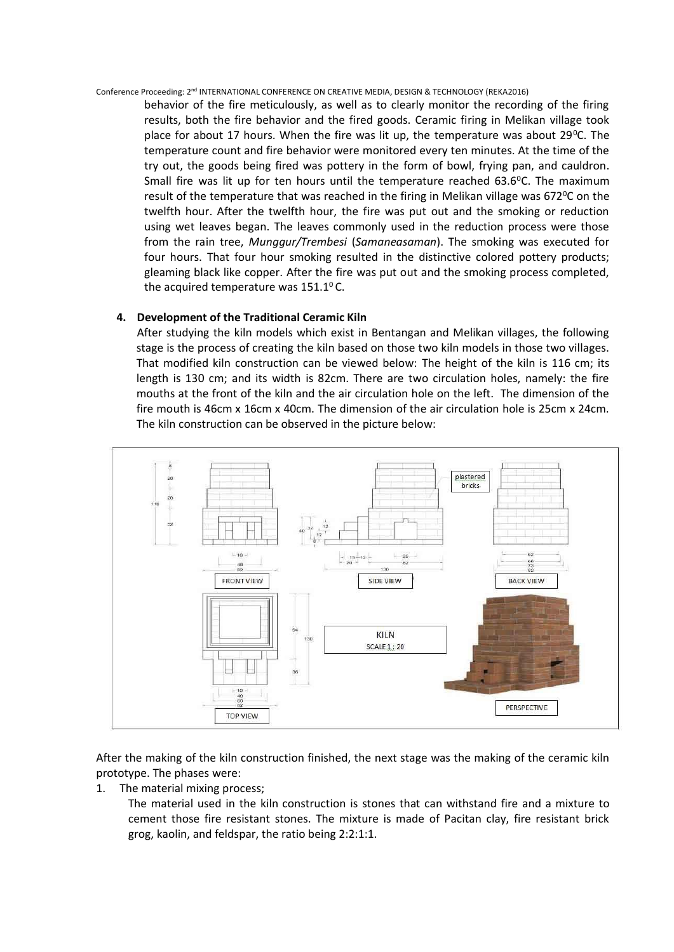behavior of the fire meticulously, as well as to clearly monitor the recording of the firing results, both the fire behavior and the fired goods. Ceramic firing in Melikan village took place for about 17 hours. When the fire was lit up, the temperature was about  $29^{\circ}$ C. The temperature count and fire behavior were monitored every ten minutes. At the time of the try out, the goods being fired was pottery in the form of bowl, frying pan, and cauldron. Small fire was lit up for ten hours until the temperature reached  $63.6^{\circ}$ C. The maximum result of the temperature that was reached in the firing in Melikan village was  $672\degree$ C on the twelfth hour. After the twelfth hour, the fire was put out and the smoking or reduction using wet leaves began. The leaves commonly used in the reduction process were those from the rain tree, *Munggur/Trembesi* (*Samaneasaman*). The smoking was executed for four hours. That four hour smoking resulted in the distinctive colored pottery products; gleaming black like copper. After the fire was put out and the smoking process completed, the acquired temperature was  $151.1^{\circ}$  C.

#### **4. Development of the Traditional Ceramic Kiln**

After studying the kiln models which exist in Bentangan and Melikan villages, the following stage is the process of creating the kiln based on those two kiln models in those two villages. That modified kiln construction can be viewed below: The height of the kiln is 116 cm; its length is 130 cm; and its width is 82cm. There are two circulation holes, namely: the fire mouths at the front of the kiln and the air circulation hole on the left. The dimension of the fire mouth is 46cm x 16cm x 40cm. The dimension of the air circulation hole is 25cm x 24cm. The kiln construction can be observed in the picture below:



After the making of the kiln construction finished, the next stage was the making of the ceramic kiln prototype. The phases were:

1. The material mixing process;

The material used in the kiln construction is stones that can withstand fire and a mixture to cement those fire resistant stones. The mixture is made of Pacitan clay, fire resistant brick grog, kaolin, and feldspar, the ratio being 2:2:1:1.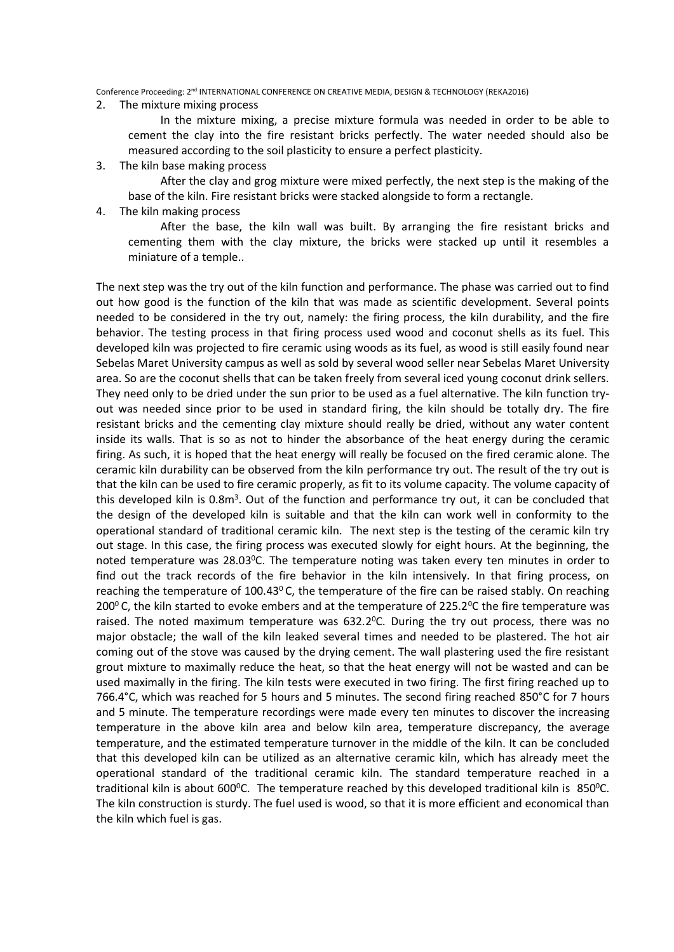2. The mixture mixing process

In the mixture mixing, a precise mixture formula was needed in order to be able to cement the clay into the fire resistant bricks perfectly. The water needed should also be measured according to the soil plasticity to ensure a perfect plasticity.

3. The kiln base making process

After the clay and grog mixture were mixed perfectly, the next step is the making of the base of the kiln. Fire resistant bricks were stacked alongside to form a rectangle.

4. The kiln making process

After the base, the kiln wall was built. By arranging the fire resistant bricks and cementing them with the clay mixture, the bricks were stacked up until it resembles a miniature of a temple..

The next step was the try out of the kiln function and performance. The phase was carried out to find out how good is the function of the kiln that was made as scientific development. Several points needed to be considered in the try out, namely: the firing process, the kiln durability, and the fire behavior. The testing process in that firing process used wood and coconut shells as its fuel. This developed kiln was projected to fire ceramic using woods as its fuel, as wood is still easily found near Sebelas Maret University campus as well as sold by several wood seller near Sebelas Maret University area. So are the coconut shells that can be taken freely from several iced young coconut drink sellers. They need only to be dried under the sun prior to be used as a fuel alternative. The kiln function tryout was needed since prior to be used in standard firing, the kiln should be totally dry. The fire resistant bricks and the cementing clay mixture should really be dried, without any water content inside its walls. That is so as not to hinder the absorbance of the heat energy during the ceramic firing. As such, it is hoped that the heat energy will really be focused on the fired ceramic alone. The ceramic kiln durability can be observed from the kiln performance try out. The result of the try out is that the kiln can be used to fire ceramic properly, as fit to its volume capacity. The volume capacity of this developed kiln is 0.8m<sup>3</sup>. Out of the function and performance try out, it can be concluded that the design of the developed kiln is suitable and that the kiln can work well in conformity to the operational standard of traditional ceramic kiln. The next step is the testing of the ceramic kiln try out stage. In this case, the firing process was executed slowly for eight hours. At the beginning, the noted temperature was  $28.03^{\circ}$ C. The temperature noting was taken every ten minutes in order to find out the track records of the fire behavior in the kiln intensively. In that firing process, on reaching the temperature of 100.43 $^{\circ}$ C, the temperature of the fire can be raised stably. On reaching 200 $\degree$  C, the kiln started to evoke embers and at the temperature of 225.2 $\degree$ C the fire temperature was raised. The noted maximum temperature was  $632.2^{\circ}$ C. During the try out process, there was no major obstacle; the wall of the kiln leaked several times and needed to be plastered. The hot air coming out of the stove was caused by the drying cement. The wall plastering used the fire resistant grout mixture to maximally reduce the heat, so that the heat energy will not be wasted and can be used maximally in the firing. The kiln tests were executed in two firing. The first firing reached up to 766.4°C, which was reached for 5 hours and 5 minutes. The second firing reached 850°C for 7 hours and 5 minute. The temperature recordings were made every ten minutes to discover the increasing temperature in the above kiln area and below kiln area, temperature discrepancy, the average temperature, and the estimated temperature turnover in the middle of the kiln. It can be concluded that this developed kiln can be utilized as an alternative ceramic kiln, which has already meet the operational standard of the traditional ceramic kiln. The standard temperature reached in a traditional kiln is about 600 $^{\circ}$ C. The temperature reached by this developed traditional kiln is 850 $^{\circ}$ C. The kiln construction is sturdy. The fuel used is wood, so that it is more efficient and economical than the kiln which fuel is gas.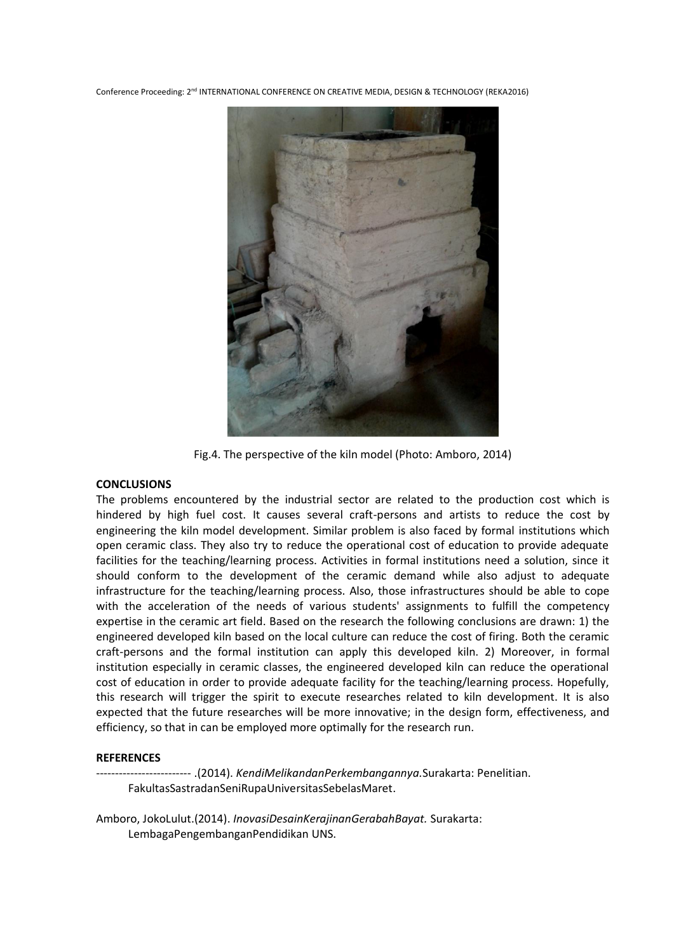

Fig.4. The perspective of the kiln model (Photo: Amboro, 2014)

#### **CONCLUSIONS**

The problems encountered by the industrial sector are related to the production cost which is hindered by high fuel cost. It causes several craft-persons and artists to reduce the cost by engineering the kiln model development. Similar problem is also faced by formal institutions which open ceramic class. They also try to reduce the operational cost of education to provide adequate facilities for the teaching/learning process. Activities in formal institutions need a solution, since it should conform to the development of the ceramic demand while also adjust to adequate infrastructure for the teaching/learning process. Also, those infrastructures should be able to cope with the acceleration of the needs of various students' assignments to fulfill the competency expertise in the ceramic art field. Based on the research the following conclusions are drawn: 1) the engineered developed kiln based on the local culture can reduce the cost of firing. Both the ceramic craft-persons and the formal institution can apply this developed kiln. 2) Moreover, in formal institution especially in ceramic classes, the engineered developed kiln can reduce the operational cost of education in order to provide adequate facility for the teaching/learning process. Hopefully, this research will trigger the spirit to execute researches related to kiln development. It is also expected that the future researches will be more innovative; in the design form, effectiveness, and efficiency, so that in can be employed more optimally for the research run.

#### **REFERENCES**

------------------------- .(2014). *KendiMelikandanPerkembangannya.*Surakarta: Penelitian. FakultasSastradanSeniRupaUniversitasSebelasMaret.

Amboro, JokoLulut.(2014). *InovasiDesainKerajinanGerabahBayat.* Surakarta: LembagaPengembanganPendidikan UNS.